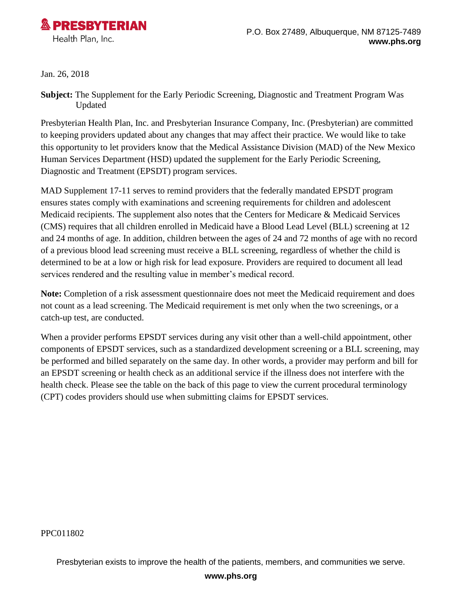

Jan. 26, 2018

**Subject:** The Supplement for the Early Periodic Screening, Diagnostic and Treatment Program Was Updated

Presbyterian Health Plan, Inc. and Presbyterian Insurance Company, Inc. (Presbyterian) are committed to keeping providers updated about any changes that may affect their practice. We would like to take this opportunity to let providers know that the Medical Assistance Division (MAD) of the New Mexico Human Services Department (HSD) updated the supplement for the Early Periodic Screening, Diagnostic and Treatment (EPSDT) program services.

MAD Supplement 17-11 serves to remind providers that the federally mandated EPSDT program ensures states comply with examinations and screening requirements for children and adolescent Medicaid recipients. The supplement also notes that the Centers for Medicare & Medicaid Services (CMS) requires that all children enrolled in Medicaid have a Blood Lead Level (BLL) screening at 12 and 24 months of age. In addition, children between the ages of 24 and 72 months of age with no record of a previous blood lead screening must receive a BLL screening, regardless of whether the child is determined to be at a low or high risk for lead exposure. Providers are required to document all lead services rendered and the resulting value in member's medical record.

**Note:** Completion of a risk assessment questionnaire does not meet the Medicaid requirement and does not count as a lead screening. The Medicaid requirement is met only when the two screenings, or a catch-up test, are conducted.

When a provider performs EPSDT services during any visit other than a well-child appointment, other components of EPSDT services, such as a standardized development screening or a BLL screening, may be performed and billed separately on the same day. In other words, a provider may perform and bill for an EPSDT screening or health check as an additional service if the illness does not interfere with the health check. Please see the table on the back of this page to view the current procedural terminology (CPT) codes providers should use when submitting claims for EPSDT services.

PPC011802

Presbyterian exists to improve the health of the patients, members, and communities we serve.